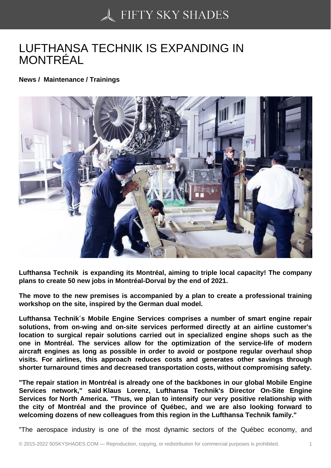## [LUFTHANSA TECHNIK](https://50skyshades.com) IS EXPANDING IN MONTRÉAL

News / Maintenance / Trainings

Lufthansa Technik is expanding its Montréal, aiming to triple local capacity! The company plans to create 50 new jobs in Montréal-Dorval by the end of 2021.

The move to the new premises is accompanied by a plan to create a professional training workshop on the site, inspired by the German dual model.

Lufthansa Technik´s Mobile Engine Services comprises a number of smart engine repair solutions, from on-wing and on-site services performed directly at an airline customer's location to surgical repair solutions carried out in specialized engine shops such as the one in Montréal. The services allow for the optimization of the service-life of modern aircraft engines as long as possible in order to avoid or postpone regular overhaul shop visits. For airlines, this approach reduces costs and generates other savings through shorter turnaround times and decreased transportation costs, without compromising safety.

"The repair station in Montréal is already one of the backbones in our global Mobile Engine Services network," said Klaus Lorenz, Lufthansa Technik's Director On-Site Engine Services for North America. "Thus, we plan to intensify our very positive relationship with the city of Montréal and the province of Québec, and we are also looking forward to welcoming dozens of new colleagues from this region in the Lufthansa Technik family."

"The aerospace industry is one of the most dynamic sectors of the Québec economy, and